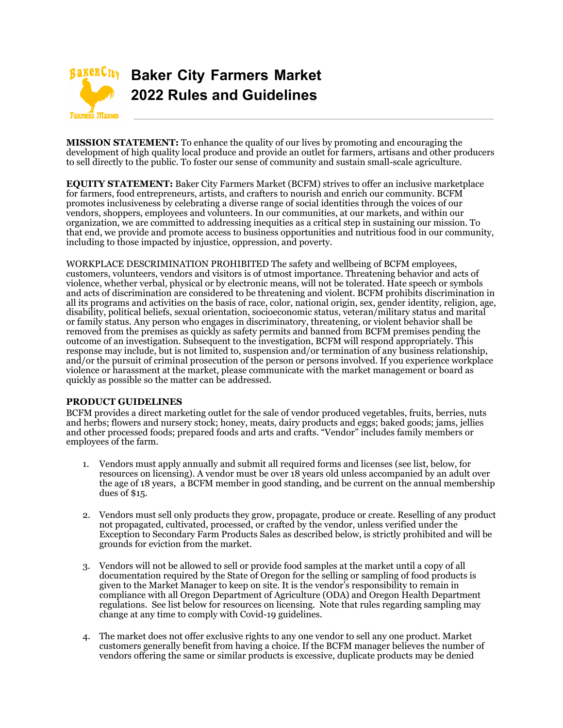

**MISSION STATEMENT:** To enhance the quality of our lives by promoting and encouraging the development of high quality local produce and provide an outlet for farmers, artisans and other producers to sell directly to the public. To foster our sense of community and sustain small-scale agriculture.

**EQUITY STATEMENT:** Baker City Farmers Market (BCFM) strives to offer an inclusive marketplace for farmers, food entrepreneurs, artists, and crafters to nourish and enrich our community. BCFM promotes inclusiveness by celebrating a diverse range of social identities through the voices of our vendors, shoppers, employees and volunteers. In our communities, at our markets, and within our organization, we are committed to addressing inequities as a critical step in sustaining our mission. To that end, we provide and promote access to business opportunities and nutritious food in our community, including to those impacted by injustice, oppression, and poverty.

WORKPLACE DESCRIMINATION PROHIBITED The safety and wellbeing of BCFM employees, customers, volunteers, vendors and visitors is of utmost importance. Threatening behavior and acts of violence, whether verbal, physical or by electronic means, will not be tolerated. Hate speech or symbols and acts of discrimination are considered to be threatening and violent. BCFM prohibits discrimination in all its programs and activities on the basis of race, color, national origin, sex, gender identity, religion, age, disability, political beliefs, sexual orientation, socioeconomic status, veteran/military status and marital or family status. Any person who engages in discriminatory, threatening, or violent behavior shall be removed from the premises as quickly as safety permits and banned from BCFM premises pending the outcome of an investigation. Subsequent to the investigation, BCFM will respond appropriately. This response may include, but is not limited to, suspension and/or termination of any business relationship, and/or the pursuit of criminal prosecution of the person or persons involved. If you experience workplace violence or harassment at the market, please communicate with the market management or board as quickly as possible so the matter can be addressed.

## **PRODUCT GUIDELINES**

BCFM provides a direct marketing outlet for the sale of vendor produced vegetables, fruits, berries, nuts and herbs; flowers and nursery stock; honey, meats, dairy products and eggs; baked goods; jams, jellies and other processed foods; prepared foods and arts and crafts. "Vendor" includes family members or employees of the farm.

- 1. Vendors must apply annually and submit all required forms and licenses (see list, below, for resources on licensing). A vendor must be over 18 years old unless accompanied by an adult over the age of 18 years, a BCFM member in good standing, and be current on the annual membership dues of \$15.
- 2. Vendors must sell only products they grow, propagate, produce or create. Reselling of any product not propagated, cultivated, processed, or crafted by the vendor, unless verified under the Exception to Secondary Farm Products Sales as described below, is strictly prohibited and will be grounds for eviction from the market.
- 3. Vendors will not be allowed to sell or provide food samples at the market until a copy of all documentation required by the State of Oregon for the selling or sampling of food products is given to the Market Manager to keep on site. It is the vendor's responsibility to remain in compliance with all Oregon Department of Agriculture (ODA) and Oregon Health Department regulations. See list below for resources on licensing. Note that rules regarding sampling may change at any time to comply with Covid-19 guidelines.
- 4. The market does not offer exclusive rights to any one vendor to sell any one product. Market customers generally benefit from having a choice. If the BCFM manager believes the number of vendors offering the same or similar products is excessive, duplicate products may be denied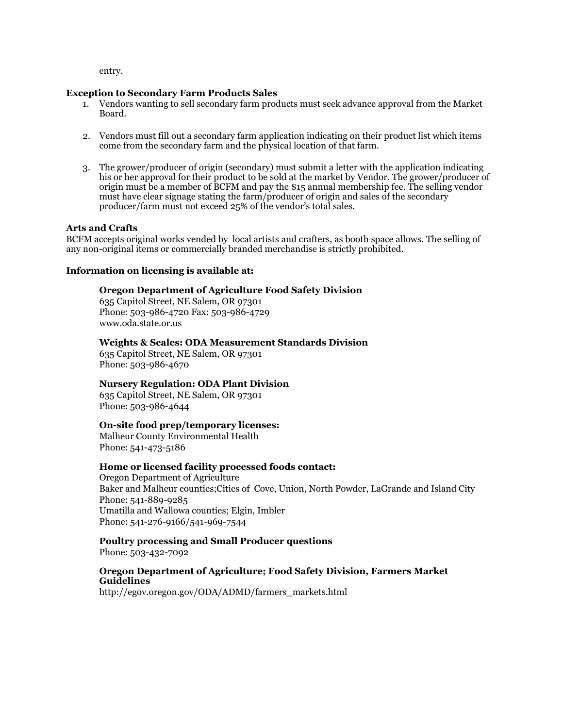entry.

#### **Exception to Secondary Farm Products Sales**

- 1. Vendors wanting to sell secondary farm products must seek advance approval from the Market Board.
- 2. Vendors must fill out a secondary farm application indicating on their product list which items come from the secondary farm and the physical location of that farm.
- 3. The grower/producer of origin (secondary) must submit a letter with the application indicating his or her approval for their product to be sold at the market by Vendor. The grower/producer of origin must be a member of BCFM and pay the \$15 annual membership fee. The selling vendor must have clear signage stating the farm/producer of origin and sales of the secondary producer/farm must not exceed 25% of the vendor's total sales.

#### **Arts and Crafts**

BCFM accepts original works vended by local artists and crafters, as booth space allows. The selling of any non-original items or commercially branded merchandise is strictly prohibited.

#### **Information on licensing is available at:**

#### **Oregon Department of Agriculture Food Safety Division**

635 Capitol Street, NE Salem, OR 97301 Phone: 503-986-4720 Fax: 503-986-4729 www.oda.state.or.us

#### **Weights & Scales: ODA Measurement Standards Division**

635 Capitol Street, NE Salem, OR 97301 Phone: 503-986-4670

## **Nursery Regulation: ODA Plant Division**

635 Capitol Street, NE Salem, OR 97301 Phone: 503-986-4644

## **On-site food prep/temporary licenses:**

Malheur County Environmental Health Phone: 541-473-5186

#### **Home or licensed facility processed foods contact:**

Oregon Department of Agriculture Baker and Malheur counties;Cities of Cove, Union, North Powder, LaGrande and Island City Phone: 541-889-9285 Umatilla and Wallowa counties; Elgin, Imbler Phone: 541-276-9166/541-969-7544

# **Poultry processing and Small Producer questions**

Phone: 503-432-7092

# **Oregon Department of Agriculture; Food Safety Division, Farmers Market Guidelines**

http://egov.oregon.gov/ODA/ADMD/farmers\_markets.html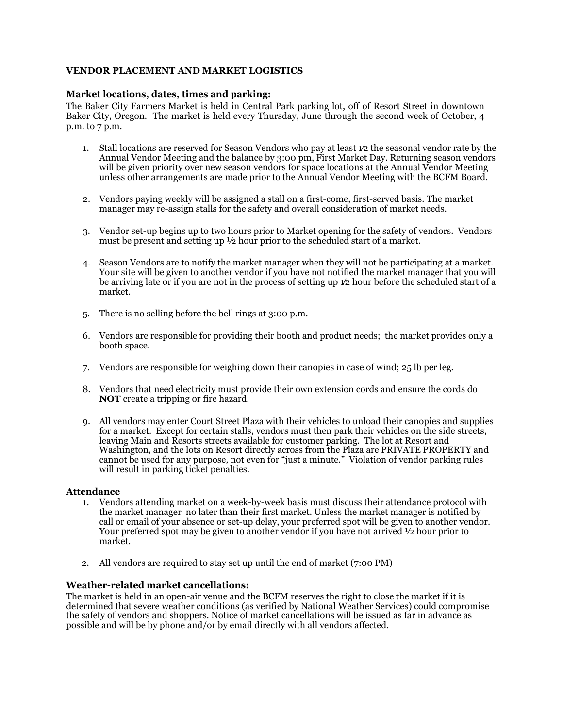# **VENDOR PLACEMENT AND MARKET LOGISTICS**

## Market locations, dates, times and parking:

The Baker City Farmers Market is held in Central Park parking lot, off of Resort Street in downtown Baker City, Oregon. The market is held every Thursday, June through the second week of October, 4 p.m. to 7 p.m.

- 1. Stall locations are reserved for Season Vendors who pay at least 1⁄2 the seasonal vendor rate by the Annual Vendor Meeting and the balance by 3:00 pm, First Market Day. Returning season vendors will be given priority over new season vendors for space locations at the Annual Vendor Meeting unless other arrangements are made prior to the Annual Vendor Meeting with the BCFM Board.
- 2. Vendors paying weekly will be assigned a stall on a first-come, first-served basis. The market manager may re-assign stalls for the safety and overall consideration of market needs.
- 3. Vendor set-up begins up to two hours prior to Market opening for the safety of vendors. Vendors must be present and setting up  $\frac{1}{2}$  hour prior to the scheduled start of a market.
- 4. Season Vendors are to notify the market manager when they will not be participating at a market. Your site will be given to another vendor if you have not notified the market manager that you will be arriving late or if you are not in the process of setting up 1⁄2 hour before the scheduled start of a market.
- 5. There is no selling before the bell rings at 3:00 p.m.
- 6. Vendors are responsible for providing their booth and product needs; the market provides only a booth space.
- 7. Vendors are responsible for weighing down their canopies in case of wind; 25 lb per leg.
- 8. Vendors that need electricity must provide their own extension cords and ensure the cords do **NOT** create a tripping or fire hazard.
- 9. All vendors may enter Court Street Plaza with their vehicles to unload their canopies and supplies for a market. Except for certain stalls, vendors must then park their vehicles on the side streets, leaving Main and Resorts streets available for customer parking. The lot at Resort and Washington, and the lots on Resort directly across from the Plaza are PRIVATE PROPERTY and cannot be used for any purpose, not even for "just a minute." Violation of vendor parking rules will result in parking ticket penalties.

## **Attendance**

- 1. Vendors attending market on a week-by-week basis must discuss their attendance protocol with the market manager no later than their first market. Unless the market manager is notified by call or email of your absence or set-up delay, your preferred spot will be given to another vendor. Your preferred spot may be given to another vendor if you have not arrived  $\frac{1}{2}$  hour prior to market.
- 2. All vendors are required to stay set up until the end of market (7:00 PM)

## **Weather-related market cancellations:**

The market is held in an open-air venue and the BCFM reserves the right to close the market if it is determined that severe weather conditions (as verified by National Weather Services) could compromise the safety of vendors and shoppers. Notice of market cancellations will be issued as far in advance as possible and will be by phone and/or by email directly with all vendors affected.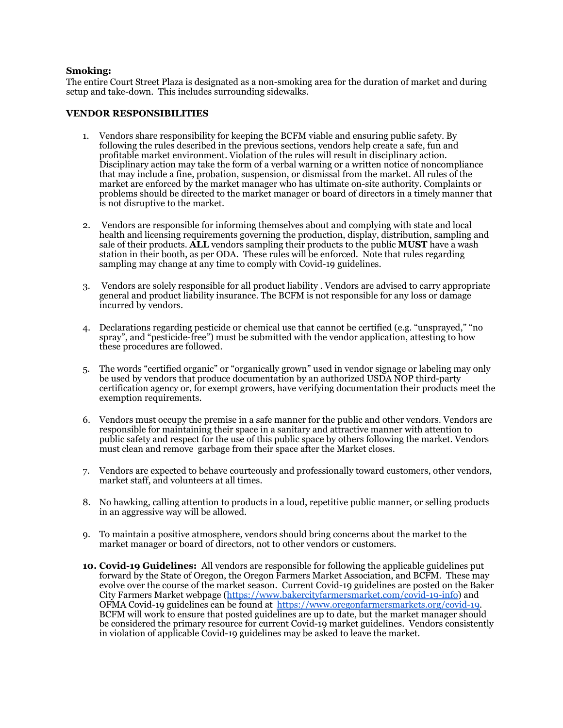#### **Smoking:**

The entire Court Street Plaza is designated as a non-smoking area for the duration of market and during setup and take-down. This includes surrounding sidewalks.

#### **VENDOR RESPONSIBILITIES**

- 1. Vendors share responsibility for keeping the BCFM viable and ensuring public safety. By following the rules described in the previous sections, vendors help create a safe, fun and profitable market environment. Violation of the rules will result in disciplinary action. Disciplinary action may take the form of a verbal warning or a written notice of noncompliance that may include a fine, probation, suspension, or dismissal from the market. All rules of the market are enforced by the market manager who has ultimate on-site authority. Complaints or problems should be directed to the market manager or board of directors in a timely manner that is not disruptive to the market.
- 2. Vendors are responsible for informing themselves about and complying with state and local health and licensing requirements governing the production, display, distribution, sampling and sale of their products. **ALL** vendors sampling their products to the public **MUST** have a wash station in their booth, as per ODA. These rules will be enforced. Note that rules regarding sampling may change at any time to comply with Covid-19 guidelines.
- 3. Vendors are solely responsible for all product liability . Vendors are advised to carry appropriate general and product liability insurance. The BCFM is not responsible for any loss or damage incurred by vendors.
- 4. Declarations regarding pesticide or chemical use that cannot be certified (e.g. "unsprayed," "no spray", and "pesticide-free") must be submitted with the vendor application, attesting to how these procedures are followed.
- 5. The words "certified organic" or "organically grown" used in vendor signage or labeling may only be used by vendors that produce documentation by an authorized USDA NOP third-party certification agency or, for exempt growers, have verifying documentation their products meet the exemption requirements.
- 6. Vendors must occupy the premise in a safe manner for the public and other vendors. Vendors are responsible for maintaining their space in a sanitary and attractive manner with attention to public safety and respect for the use of this public space by others following the market. Vendors must clean and remove garbage from their space after the Market closes.
- 7. Vendors are expected to behave courteously and professionally toward customers, other vendors, market staff, and volunteers at all times.
- 8. No hawking, calling attention to products in a loud, repetitive public manner, or selling products in an aggressive way will be allowed.
- 9. To maintain a positive atmosphere, vendors should bring concerns about the market to the market manager or board of directors, not to other vendors or customers.
- **10. Covid-19 Guidelines:** All vendors are responsible for following the applicable guidelines put forward by the State of Oregon, the Oregon Farmers Market Association, and BCFM. These may evolve over the course of the market season. Current Covid-19 guidelines are posted on the Baker City Farmers Market webpage ([https://www.bakercityfarmersmarket.com/covid-19-info\)](https://www.bakercityfarmersmarket.com/covid-19-info) and OFMA Covid-19 guidelines can be found at [https://www.oregonfarmersmarkets.org/covid-19.](https://www.oregonfarmersmarkets.org/covid-19) BCFM will work to ensure that posted guidelines are up to date, but the market manager should be considered the primary resource for current Covid-19 market guidelines. Vendors consistently in violation of applicable Covid-19 guidelines may be asked to leave the market.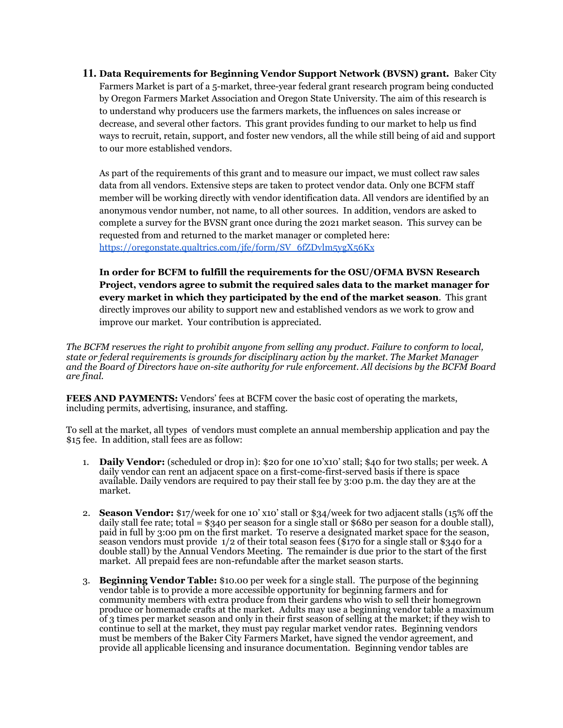**11. Data Requirements for Beginning Vendor Support Network (BVSN) grant.** Baker City Farmers Market is part of a 5-market, three-year federal grant research program being conducted by Oregon Farmers Market Association and Oregon State University. The aim of this research is to understand why producers use the farmers markets, the influences on sales increase or decrease, and several other factors. This grant provides funding to our market to help us find ways to recruit, retain, support, and foster new vendors, all the while still being of aid and support to our more established vendors.

As part of the requirements of this grant and to measure our impact, we must collect raw sales data from all vendors. Extensive steps are taken to protect vendor data. Only one BCFM staff member will be working directly with vendor identification data. All vendors are identified by an anonymous vendor number, not name, to all other sources. In addition, vendors are asked to complete a survey for the BVSN grant once during the 2021 market season. This survey can be requested from and returned to the market manager or completed here: [https://oregonstate.qualtrics.com/jfe/form/SV\\_6fZDvlm5ygX56Kx](https://oregonstate.qualtrics.com/jfe/form/SV_6fZDvlm5ygX56Kx)

**In order for BCFM to fulfill the requirements for the OSU/OFMA BVSN Research Project, vendors agree to submit the required sales data to the market manager for every market in which they participated by the end of the market season**. This grant directly improves our ability to support new and established vendors as we work to grow and improve our market. Your contribution is appreciated.

*The BCFM reserves the right to prohibit anyone from selling any product. Failure to conform to local, state or federal requirements is grounds for disciplinary action by the market. The Market Manager and the Board of Directors have on-site authority for rule enforcement. All decisions by the BCFM Board are final.*

**FEES AND PAYMENTS:** Vendors' fees at BCFM cover the basic cost of operating the markets, including permits, advertising, insurance, and staffing.

To sell at the market, all types of vendors must complete an annual membership application and pay the \$15 fee. In addition, stall fees are as follow:

- 1. **Daily Vendor:** (scheduled or drop in): \$20 for one 10'x10' stall; \$40 for two stalls; per week. A daily vendor can rent an adjacent space on a first-come-first-served basis if there is space available. Daily vendors are required to pay their stall fee by 3:00 p.m. the day they are at the market.
- 2. **Season Vendor:** \$17/week for one 10' x10' stall or \$34/week for two adjacent stalls (15% off the daily stall fee rate; total = \$340 per season for a single stall or \$680 per season for a double stall), paid in full by 3:00 pm on the first market. To reserve a designated market space for the season, season vendors must provide 1/2 of their total season fees (\$170 for a single stall or \$340 for a double stall) by the Annual Vendors Meeting. The remainder is due prior to the start of the first market. All prepaid fees are non-refundable after the market season starts.
- 3. **Beginning Vendor Table:** \$10.00 per week for a single stall. The purpose of the beginning vendor table is to provide a more accessible opportunity for beginning farmers and for community members with extra produce from their gardens who wish to sell their homegrown produce or homemade crafts at the market. Adults may use a beginning vendor table a maximum of 3 times per market season and only in their first season of selling at the market; if they wish to continue to sell at the market, they must pay regular market vendor rates. Beginning vendors must be members of the Baker City Farmers Market, have signed the vendor agreement, and provide all applicable licensing and insurance documentation. Beginning vendor tables are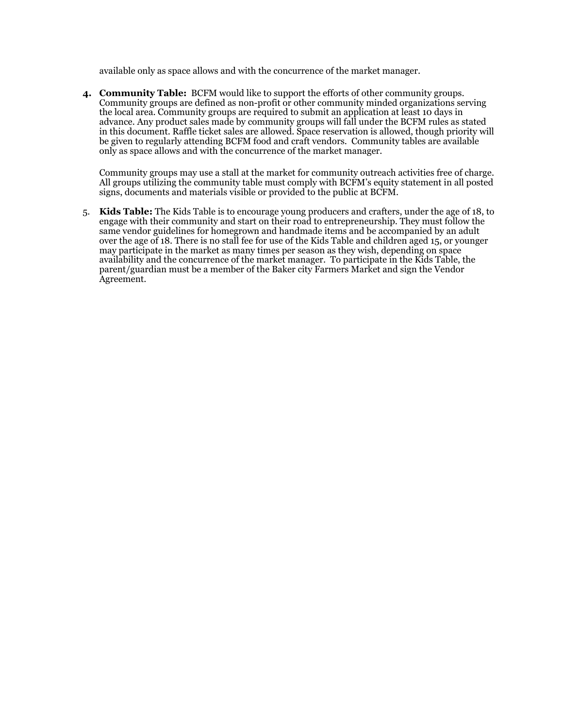available only as space allows and with the concurrence of the market manager.

**4. Community Table:** BCFM would like to support the efforts of other community groups. Community groups are defined as non-profit or other community minded organizations serving the local area. Community groups are required to submit an application at least 10 days in advance. Any product sales made by community groups will fall under the BCFM rules as stated in this document. Raffle ticket sales are allowed. Space reservation is allowed, though priority will be given to regularly attending BCFM food and craft vendors. Community tables are available only as space allows and with the concurrence of the market manager.

Community groups may use a stall at the market for community outreach activities free of charge. All groups utilizing the community table must comply with BCFM's equity statement in all posted signs, documents and materials visible or provided to the public at BCFM.

5. **Kids Table:** The Kids Table is to encourage young producers and crafters, under the age of 18, to engage with their community and start on their road to entrepreneurship. They must follow the same vendor guidelines for homegrown and handmade items and be accompanied by an adult over the age of 18. There is no stall fee for use of the Kids Table and children aged 15, or younger may participate in the market as many times per season as they wish, depending on space availability and the concurrence of the market manager. To participate in the Kids Table, the parent/guardian must be a member of the Baker city Farmers Market and sign the Vendor Agreement.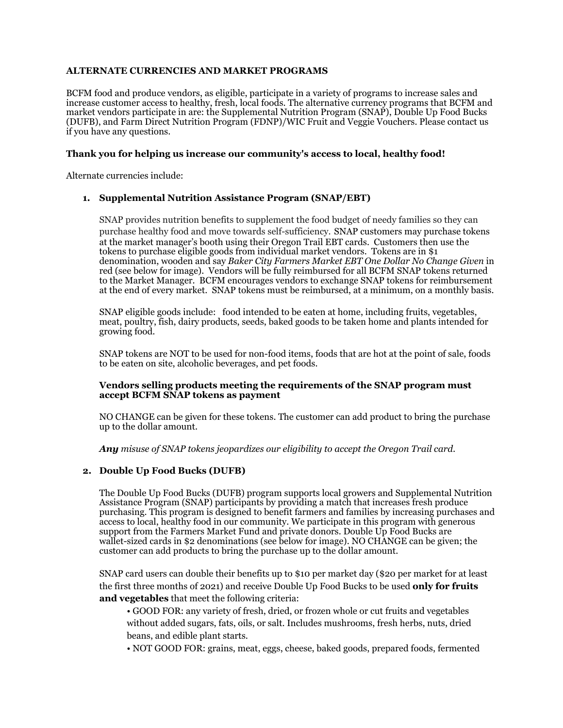# **ALTERNATE CURRENCIES AND MARKET PROGRAMS**

BCFM food and produce vendors, as eligible, participate in a variety of programs to increase sales and increase customer access to healthy, fresh, local foods. The alternative currency programs that BCFM and market vendors participate in are: the Supplemental Nutrition Program (SNAP), Double Up Food Bucks (DUFB), and Farm Direct Nutrition Program (FDNP)/WIC Fruit and Veggie Vouchers. Please contact us if you have any questions.

#### **Thank you for helping us increase our community's access to local, healthy food!**

Alternate currencies include:

## **1. Supplemental Nutrition Assistance Program (SNAP/EBT)**

SNAP provides nutrition benefits to supplement the food budget of needy families so they can purchase healthy food and move towards self-sufficiency. SNAP customers may purchase tokens at the market manager's booth using their Oregon Trail EBT cards. Customers then use the tokens to purchase eligible goods from individual market vendors. Tokens are in \$1 denomination, wooden and say *Baker City Farmers Market EBT One Dollar No Change Given* in red (see below for image). Vendors will be fully reimbursed for all BCFM SNAP tokens returned to the Market Manager. BCFM encourages vendors to exchange SNAP tokens for reimbursement at the end of every market. SNAP tokens must be reimbursed, at a minimum, on a monthly basis.

SNAP eligible goods include: food intended to be eaten at home, including fruits, vegetables, meat, poultry, fish, dairy products, seeds, baked goods to be taken home and plants intended for growing food.

SNAP tokens are NOT to be used for non-food items, foods that are hot at the point of sale, foods to be eaten on site, alcoholic beverages, and pet foods.

#### **Vendors selling products meeting the requirements of the SNAP program must accept BCFM SNAP tokens as payment**

NO CHANGE can be given for these tokens. The customer can add product to bring the purchase up to the dollar amount.

*Any misuse of SNAP tokens jeopardizes our eligibility to accept the Oregon Trail card.*

## **2. Double Up Food Bucks (DUFB)**

The Double Up Food Bucks (DUFB) program supports local growers and Supplemental Nutrition Assistance Program (SNAP) participants by providing a match that increases fresh produce purchasing. This program is designed to benefit farmers and families by increasing purchases and access to local, healthy food in our community. We participate in this program with generous support from the Farmers Market Fund and private donors. Double Up Food Bucks are wallet-sized cards in \$2 denominations (see below for image). NO CHANGE can be given; the customer can add products to bring the purchase up to the dollar amount.

SNAP card users can double their benefits up to \$10 per market day (\$20 per market for at least the first three months of 2021) and receive Double Up Food Bucks to be used **only for fruits and vegetables** that meet the following criteria:

• GOOD FOR: any variety of fresh, dried, or frozen whole or cut fruits and vegetables without added sugars, fats, oils, or salt. Includes mushrooms, fresh herbs, nuts, dried beans, and edible plant starts.

• NOT GOOD FOR: grains, meat, eggs, cheese, baked goods, prepared foods, fermented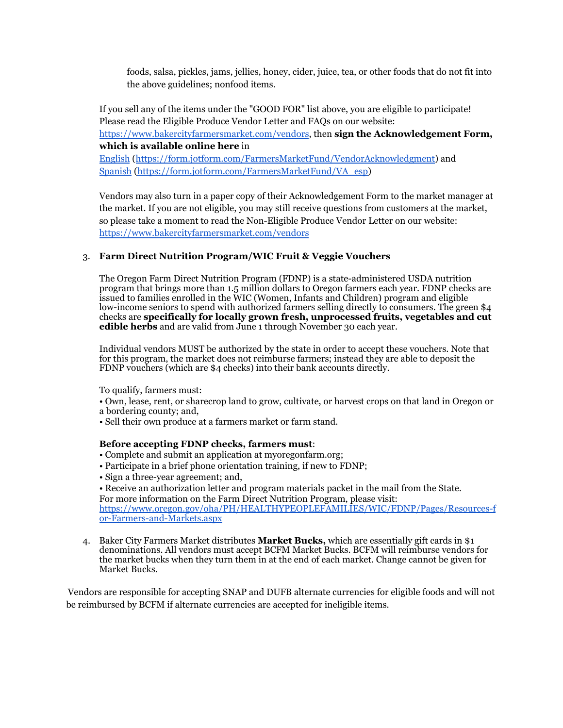foods, salsa, pickles, jams, jellies, honey, cider, juice, tea, or other foods that do not fit into the above guidelines; nonfood items.

If you sell any of the items under the "GOOD FOR" list above, you are eligible to participate! Please read the Eligible Produce Vendor Letter and FAQs on our website: <https://www.bakercityfarmersmarket.com/vendors>, then **sign the Acknowledgement Form, which is available online here** in [English](https://form.jotform.com/FarmersMarketFund/VendorAcknowledgment) (<https://form.jotform.com/FarmersMarketFund/VendorAcknowledgment>) and Spanish [\(https://form.jotform.com/FarmersMarketFund/VA\\_esp](https://form.jotform.com/FarmersMarketFund/VA_esp))

Vendors may also turn in a paper copy of their Acknowledgement Form to the market manager at the market. If you are not eligible, you may still receive questions from customers at the market, so please take a moment to read the Non-Eligible Produce Vendor Letter on our website: <https://www.bakercityfarmersmarket.com/vendors>

# 3. **Farm Direct Nutrition Program/WIC Fruit & Veggie Vouchers**

The Oregon Farm Direct Nutrition Program (FDNP) is a state-administered USDA nutrition program that brings more than 1.5 million dollars to Oregon farmers each year. FDNP checks are issued to families enrolled in the WIC (Women, Infants and Children) program and eligible low-income seniors to spend with authorized farmers selling directly to consumers. The green \$4 checks are **specifically for locally grown fresh, unprocessed fruits, vegetables and cut edible herbs** and are valid from June 1 through November 30 each year.

Individual vendors MUST be authorized by the state in order to accept these vouchers. Note that for this program, the market does not reimburse farmers; instead they are able to deposit the FDNP vouchers (which are \$4 checks) into their bank accounts directly.

To qualify, farmers must:

- Own, lease, rent, or sharecrop land to grow, cultivate, or harvest crops on that land in Oregon or a bordering county; and,
- Sell their own produce at a farmers market or farm stand.

## **Before accepting FDNP checks, farmers must**:

- Complete and submit an application at myoregonfarm.org;
- Participate in a brief phone orientation training, if new to FDNP;
- Sign a three-year agreement; and,
- Receive an authorization letter and program materials packet in the mail from the State.

For more information on the Farm Direct Nutrition Program, please visit: [https://www.oregon.gov/oha/PH/HEALTHYPEOPLEFAMILIES/WIC/FDNP/Pages/Resources-f](https://www.oregon.gov/oha/PH/HEALTHYPEOPLEFAMILIES/WIC/FDNP/Pages/Resources-for-Farmers-and-Markets.aspx) [or-Farmers-and-Markets.aspx](https://www.oregon.gov/oha/PH/HEALTHYPEOPLEFAMILIES/WIC/FDNP/Pages/Resources-for-Farmers-and-Markets.aspx)

4. Baker City Farmers Market distributes **Market Bucks,** which are essentially gift cards in \$1 denominations. All vendors must accept BCFM Market Bucks. BCFM will reimburse vendors for the market bucks when they turn them in at the end of each market. Change cannot be given for Market Bucks.

Vendors are responsible for accepting SNAP and DUFB alternate currencies for eligible foods and will not be reimbursed by BCFM if alternate currencies are accepted for ineligible items.